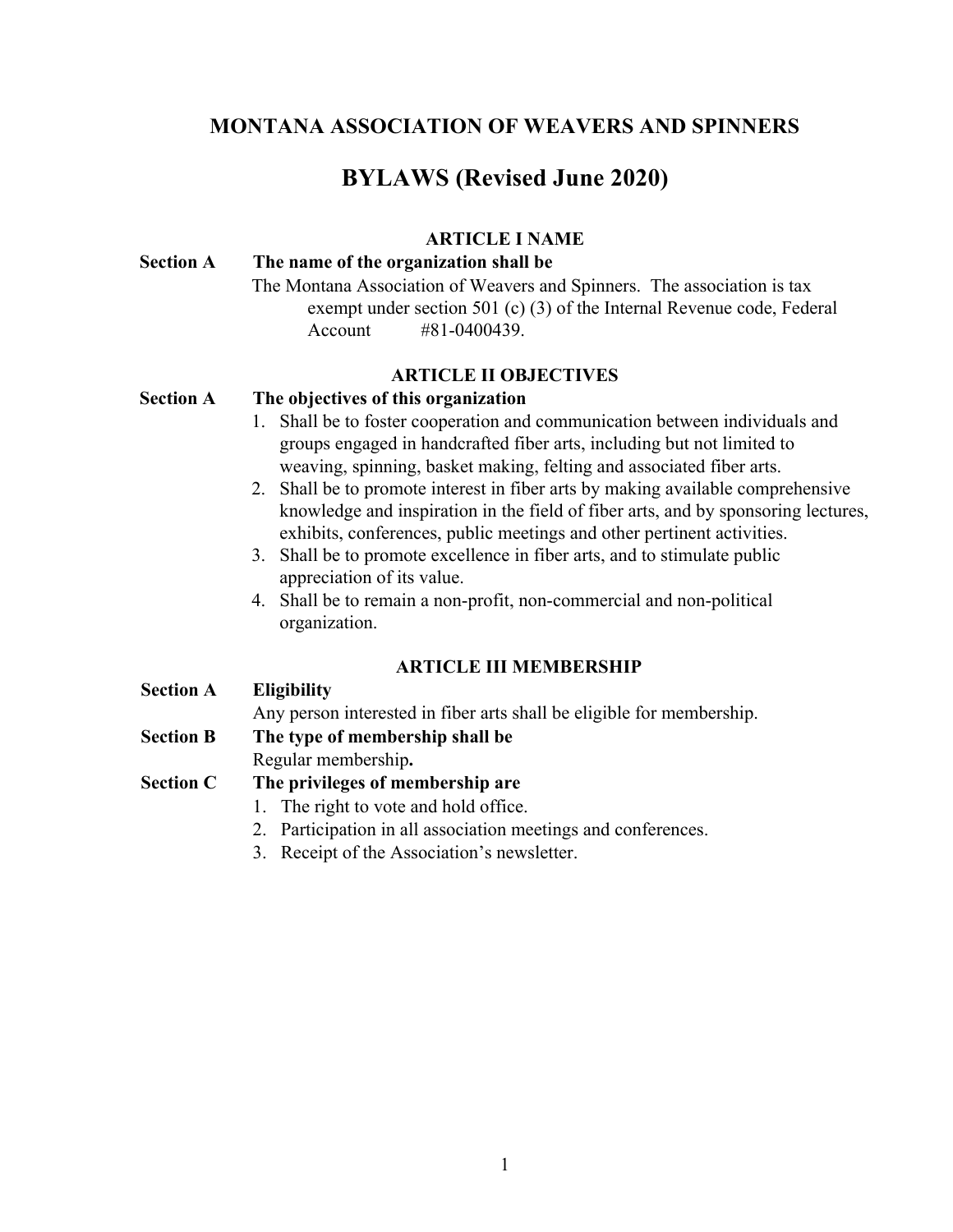# **MONTANA ASSOCIATION OF WEAVERS AND SPINNERS**

# **BYLAWS (Revised June 2020)**

### **ARTICLE I NAME**

### **Section A The name of the organization shall be**

The Montana Association of Weavers and Spinners. The association is tax exempt under section 501 (c) (3) of the Internal Revenue code, Federal Account #81-0400439.

### **ARTICLE II OBJECTIVES**

### **Section A The objectives of this organization**

- 1. Shall be to foster cooperation and communication between individuals and groups engaged in handcrafted fiber arts, including but not limited to weaving, spinning, basket making, felting and associated fiber arts.
- 2. Shall be to promote interest in fiber arts by making available comprehensive knowledge and inspiration in the field of fiber arts, and by sponsoring lectures, exhibits, conferences, public meetings and other pertinent activities.
- 3. Shall be to promote excellence in fiber arts, and to stimulate public appreciation of its value.
- 4. Shall be to remain a non-profit, non-commercial and non-political organization.

# **ARTICLE III MEMBERSHIP**

**Section A Eligibility**

Any person interested in fiber arts shall be eligible for membership.

# **Section B The type of membership shall be**

Regular membership**.**

# **Section C The privileges of membership are**

- 1. The right to vote and hold office.
- 2. Participation in all association meetings and conferences.
- 3. Receipt of the Association's newsletter.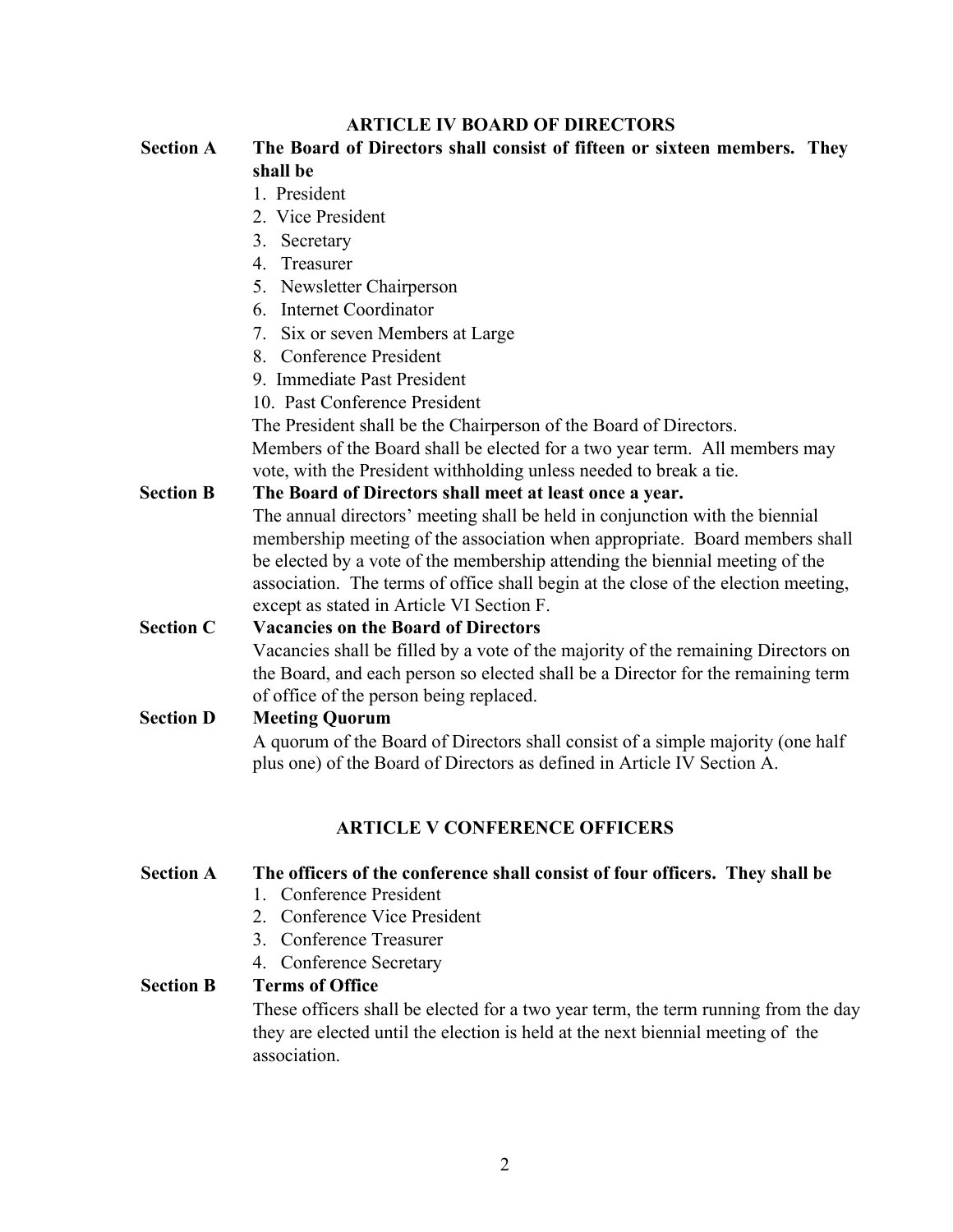### **ARTICLE IV BOARD OF DIRECTORS**

#### **Section A The Board of Directors shall consist of fifteen or sixteen members. They shall be**

#### 1. President

- 2. Vice President
- 3. Secretary
- 4. Treasurer
- 5. Newsletter Chairperson
- 6. Internet Coordinator
- 7. Six or seven Members at Large
- 8. Conference President
- 9. Immediate Past President
- 10. Past Conference President

The President shall be the Chairperson of the Board of Directors.

Members of the Board shall be elected for a two year term. All members may vote, with the President withholding unless needed to break a tie.

#### **Section B The Board of Directors shall meet at least once a year.**

 The annual directors' meeting shall be held in conjunction with the biennial membership meeting of the association when appropriate. Board members shall be elected by a vote of the membership attending the biennial meeting of the association. The terms of office shall begin at the close of the election meeting, except as stated in Article VI Section F.

### **Section C Vacancies on the Board of Directors** Vacancies shall be filled by a vote of the majority of the remaining Directors on the Board, and each person so elected shall be a Director for the remaining term

# of office of the person being replaced.

# **Section D Meeting Quorum** A quorum of the Board of Directors shall consist of a simple majority (one half plus one) of the Board of Directors as defined in Article IV Section A.

# **ARTICLE V CONFERENCE OFFICERS**

# **Section A The officers of the conference shall consist of four officers. They shall be**

- 1. Conference President
- 2. Conference Vice President
- 3. Conference Treasurer
- 4. Conference Secretary

# **Section B Terms of Office**

These officers shall be elected for a two year term, the term running from the day they are elected until the election is held at the next biennial meeting of the association.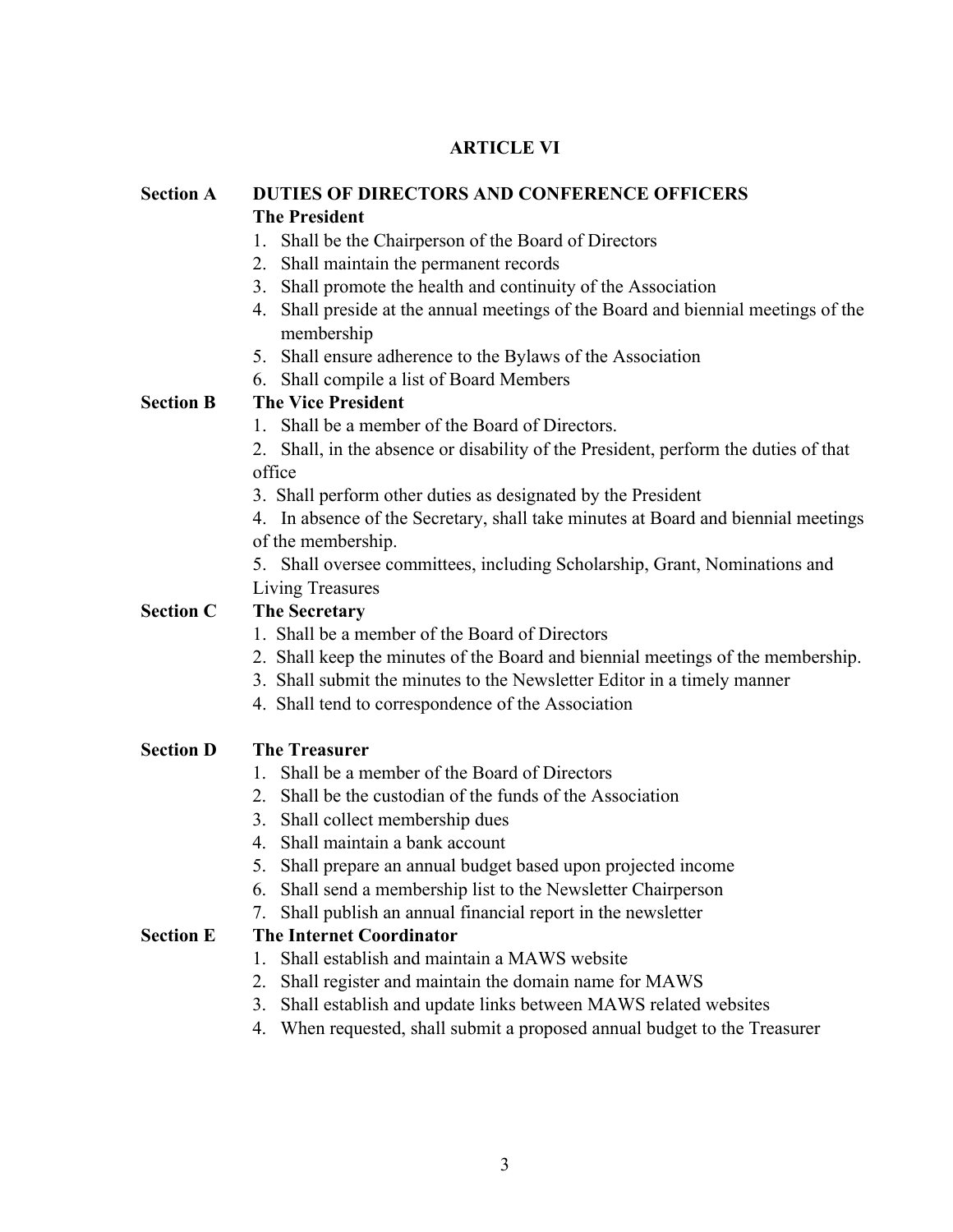# **ARTICLE VI**

| <b>Section A</b> | DUTIES OF DIRECTORS AND CONFERENCE OFFICERS<br><b>The President</b>                             |
|------------------|-------------------------------------------------------------------------------------------------|
|                  | 1. Shall be the Chairperson of the Board of Directors                                           |
|                  | 2. Shall maintain the permanent records                                                         |
|                  | 3. Shall promote the health and continuity of the Association                                   |
|                  | 4. Shall preside at the annual meetings of the Board and biennial meetings of the<br>membership |
|                  | 5. Shall ensure adherence to the Bylaws of the Association                                      |
|                  | 6. Shall compile a list of Board Members                                                        |
| <b>Section B</b> | <b>The Vice President</b>                                                                       |
|                  | 1. Shall be a member of the Board of Directors.                                                 |
|                  | 2. Shall, in the absence or disability of the President, perform the duties of that             |
|                  | office                                                                                          |
|                  | 3. Shall perform other duties as designated by the President                                    |
|                  | 4. In absence of the Secretary, shall take minutes at Board and biennial meetings               |
|                  | of the membership.                                                                              |
|                  | 5. Shall oversee committees, including Scholarship, Grant, Nominations and                      |
|                  | Living Treasures                                                                                |
| <b>Section C</b> | <b>The Secretary</b>                                                                            |
|                  | 1. Shall be a member of the Board of Directors                                                  |
|                  | 2. Shall keep the minutes of the Board and biennial meetings of the membership.                 |
|                  | 3. Shall submit the minutes to the Newsletter Editor in a timely manner                         |
|                  | 4. Shall tend to correspondence of the Association                                              |
| <b>Section D</b> | <b>The Treasurer</b>                                                                            |
|                  | Shall be a member of the Board of Directors                                                     |
|                  | 2. Shall be the custodian of the funds of the Association                                       |
|                  | Shall collect membership dues<br>3 <sub>1</sub>                                                 |
|                  | Shall maintain a bank account<br>4.                                                             |
|                  | 5.<br>Shall prepare an annual budget based upon projected income                                |
|                  | Shall send a membership list to the Newsletter Chairperson<br>6.                                |
|                  | Shall publish an annual financial report in the newsletter<br>7.                                |
| <b>Section E</b> | <b>The Internet Coordinator</b>                                                                 |
|                  | Shall establish and maintain a MAWS website<br>1.                                               |
|                  | Shall register and maintain the domain name for MAWS<br>2.                                      |
|                  | Shall establish and update links between MAWS related websites<br>3.                            |
|                  | When requested, shall submit a proposed annual budget to the Treasurer<br>4.                    |
|                  |                                                                                                 |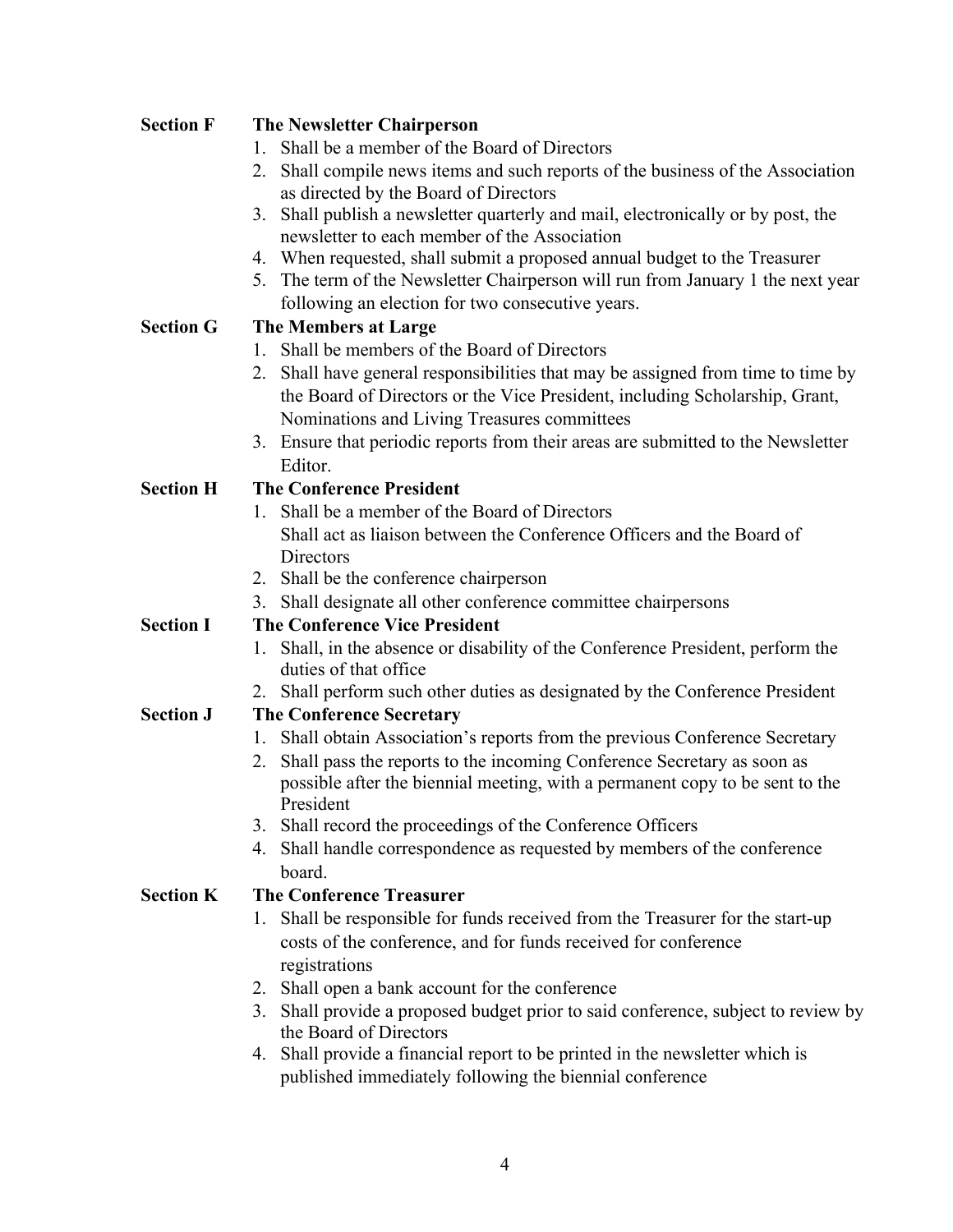| <b>Section F</b> | <b>The Newsletter Chairperson</b>                                                    |  |
|------------------|--------------------------------------------------------------------------------------|--|
|                  | Shall be a member of the Board of Directors                                          |  |
|                  | Shall compile news items and such reports of the business of the Association<br>2.   |  |
|                  | as directed by the Board of Directors                                                |  |
|                  | Shall publish a newsletter quarterly and mail, electronically or by post, the<br>3.  |  |
|                  | newsletter to each member of the Association                                         |  |
|                  | When requested, shall submit a proposed annual budget to the Treasurer<br>4.         |  |
|                  | The term of the Newsletter Chairperson will run from January 1 the next year<br>5.   |  |
|                  | following an election for two consecutive years.                                     |  |
| <b>Section G</b> | <b>The Members at Large</b>                                                          |  |
|                  | Shall be members of the Board of Directors<br>$\mathbf{1}$                           |  |
|                  | Shall have general responsibilities that may be assigned from time to time by<br>2.  |  |
|                  | the Board of Directors or the Vice President, including Scholarship, Grant,          |  |
|                  | Nominations and Living Treasures committees                                          |  |
|                  | Ensure that periodic reports from their areas are submitted to the Newsletter<br>3.  |  |
|                  | Editor.                                                                              |  |
| <b>Section H</b> | <b>The Conference President</b>                                                      |  |
|                  | 1. Shall be a member of the Board of Directors                                       |  |
|                  | Shall act as liaison between the Conference Officers and the Board of                |  |
|                  | Directors                                                                            |  |
|                  | 2. Shall be the conference chairperson                                               |  |
|                  | Shall designate all other conference committee chairpersons<br>3.                    |  |
| <b>Section I</b> | <b>The Conference Vice President</b>                                                 |  |
|                  | Shall, in the absence or disability of the Conference President, perform the<br>1.   |  |
|                  | duties of that office                                                                |  |
|                  | Shall perform such other duties as designated by the Conference President<br>2.      |  |
| <b>Section J</b> | <b>The Conference Secretary</b>                                                      |  |
|                  | Shall obtain Association's reports from the previous Conference Secretary<br>1.      |  |
|                  | Shall pass the reports to the incoming Conference Secretary as soon as<br>2.         |  |
|                  | possible after the biennial meeting, with a permanent copy to be sent to the         |  |
|                  | President                                                                            |  |
|                  | Shall record the proceedings of the Conference Officers<br>3.                        |  |
|                  | Shall handle correspondence as requested by members of the conference<br>4.          |  |
|                  | board.                                                                               |  |
| <b>Section K</b> | <b>The Conference Treasurer</b>                                                      |  |
|                  | Shall be responsible for funds received from the Treasurer for the start-up<br>1.    |  |
|                  | costs of the conference, and for funds received for conference                       |  |
|                  | registrations                                                                        |  |
|                  | Shall open a bank account for the conference<br>2.                                   |  |
|                  | Shall provide a proposed budget prior to said conference, subject to review by<br>3. |  |
|                  | the Board of Directors                                                               |  |
|                  | Shall provide a financial report to be printed in the newsletter which is<br>4.      |  |
|                  | published immediately following the biennial conference                              |  |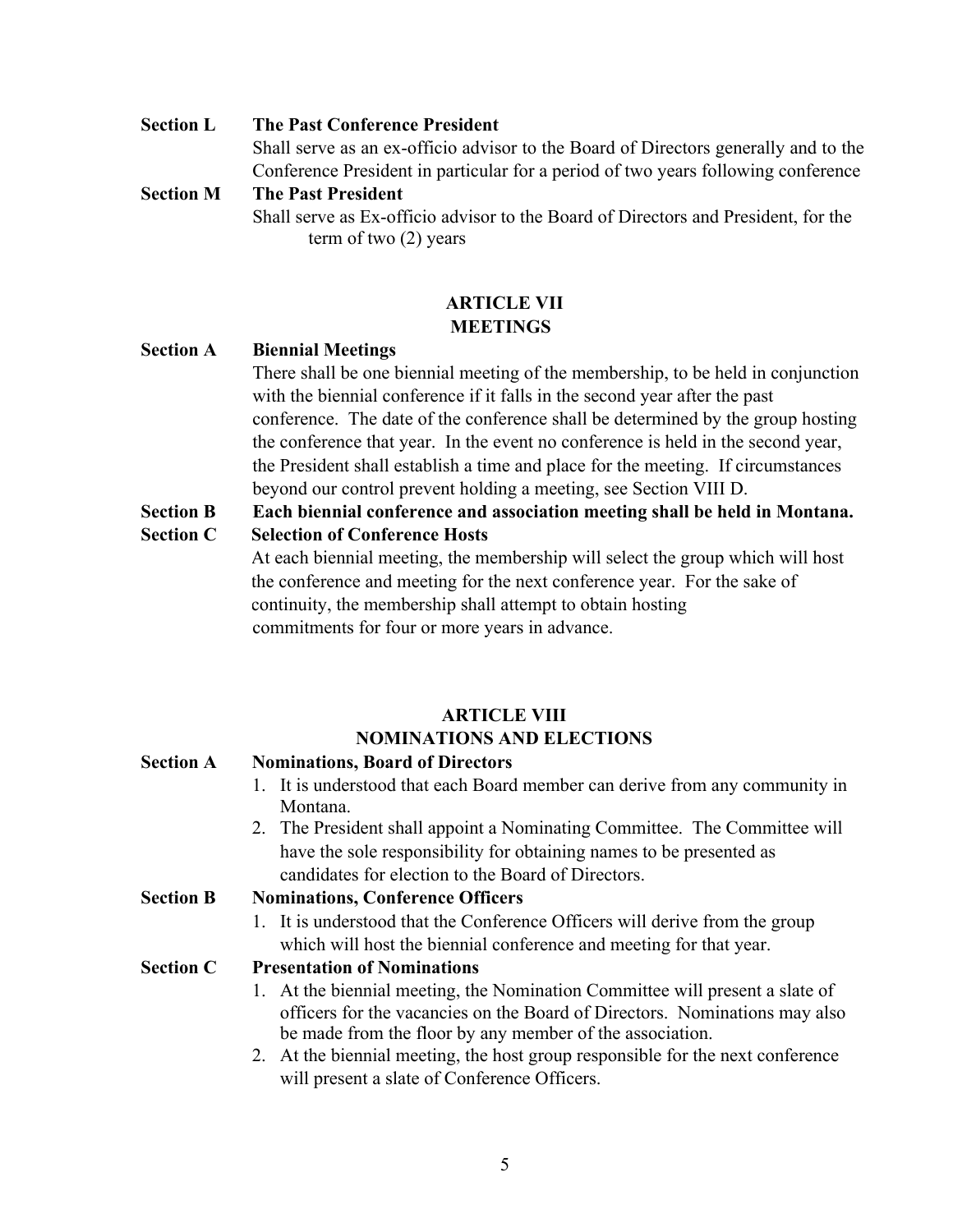**Section L The Past Conference President** Shall serve as an ex-officio advisor to the Board of Directors generally and to the Conference President in particular for a period of two years following conference **Section M The Past President**

Shall serve as Ex-officio advisor to the Board of Directors and President, for the term of two (2) years

# **ARTICLE VII MEETINGS**

# **Section A Biennial Meetings**

There shall be one biennial meeting of the membership, to be held in conjunction with the biennial conference if it falls in the second year after the past conference. The date of the conference shall be determined by the group hosting the conference that year. In the event no conference is held in the second year, the President shall establish a time and place for the meeting. If circumstances beyond our control prevent holding a meeting, see Section VIII D.

- **Section B Each biennial conference and association meeting shall be held in Montana. Section C Selection of Conference Hosts**
	- At each biennial meeting, the membership will select the group which will host the conference and meeting for the next conference year. For the sake of continuity, the membership shall attempt to obtain hosting commitments for four or more years in advance.

# **ARTICLE VIII NOMINATIONS AND ELECTIONS**

# **Section A Nominations, Board of Directors** 1. It is understood that each Board member can derive from any community in Montana. 2. The President shall appoint a Nominating Committee. The Committee will have the sole responsibility for obtaining names to be presented as candidates for election to the Board of Directors. **Section B Nominations, Conference Officers** 1. It is understood that the Conference Officers will derive from the group which will host the biennial conference and meeting for that year. **Section C Presentation of Nominations** 1. At the biennial meeting, the Nomination Committee will present a slate of officers for the vacancies on the Board of Directors. Nominations may also be made from the floor by any member of the association. 2. At the biennial meeting, the host group responsible for the next conference will present a slate of Conference Officers.